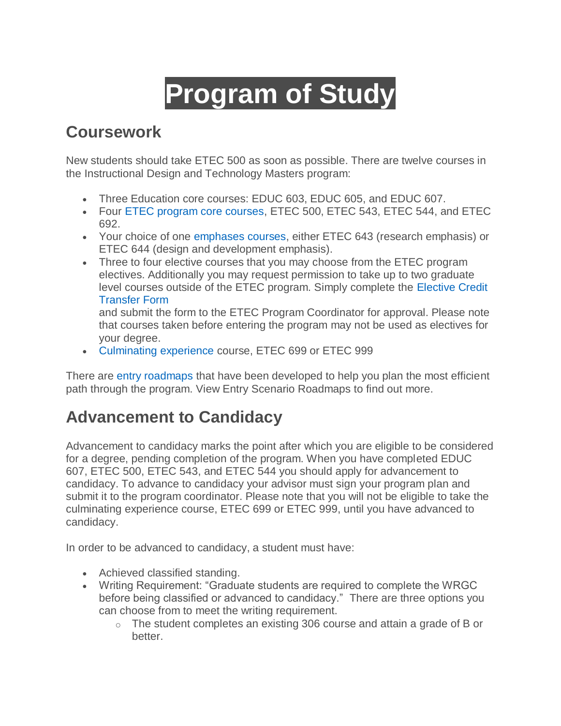# **Program of Study**

# **Coursework**

New students should take ETEC 500 as soon as possible. There are twelve courses in the Instructional Design and Technology Masters program:

- Three Education core courses: EDUC 603, EDUC 605, and EDUC 607.
- Four [ETEC program core courses,](https://www.csusb.edu/instructional-technology-program/masters-degree/courses-offered/course-description) ETEC 500, ETEC 543, ETEC 544, and ETEC 692.
- Your choice of one [emphases courses,](https://www.csusb.edu/instructional-technology-program/masters-degree/courses-offered/course-description) either ETEC 643 (research emphasis) or ETEC 644 (design and development emphasis).
- Three to four elective courses that you may choose from the ETEC program electives. Additionally you may request permission to take up to two graduate level courses outside of the ETEC program. Simply complete the [Elective Credit](https://www.csusb.edu/sites/default/files/elective_credit_transfer_002.pdf)  [Transfer Form](https://www.csusb.edu/sites/default/files/elective_credit_transfer_002.pdf)

and submit the form to the ETEC Program Coordinator for approval. Please note that courses taken before entering the program may not be used as electives for your degree.

[Culminating experience](https://www.csusb.edu/instructional-technology-program/masters-degree/courses-offered/course-description) course, ETEC 699 or ETEC 999

There are [entry roadmaps](https://www.csusb.edu/instructional-technology-program/course-schedule) that have been developed to help you plan the most efficient path through the program. View Entry Scenario Roadmaps to find out more.

# **Advancement to Candidacy**

Advancement to candidacy marks the point after which you are eligible to be considered for a degree, pending completion of the program. When you have completed EDUC 607, ETEC 500, ETEC 543, and ETEC 544 you should apply for advancement to candidacy. To advance to candidacy your advisor must sign your program plan and submit it to the program coordinator. Please note that you will not be eligible to take the culminating experience course, ETEC 699 or ETEC 999, until you have advanced to candidacy.

In order to be advanced to candidacy, a student must have:

- Achieved classified standing.
- Writing Requirement: "Graduate students are required to complete the WRGC before being classified or advanced to candidacy." There are three options you can choose from to meet the writing requirement.
	- $\circ$  The student completes an existing 306 course and attain a grade of B or better.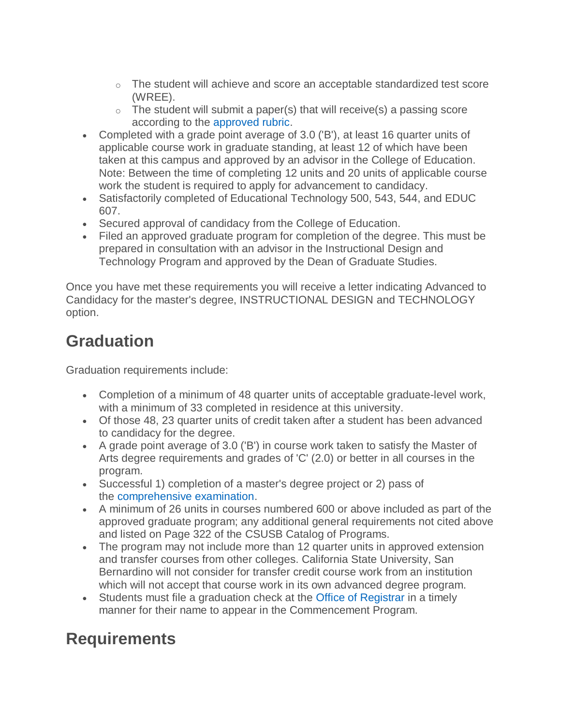- $\circ$  The student will achieve and score an acceptable standardized test score (WREE).
- $\circ$  The student will submit a paper(s) that will receive(s) a passing score according to the [approved rubric.](http://www.csusb.edu/sites/default/files/PaperEvaluationCriteria_WritingRequirement.pdf)
- Completed with a grade point average of 3.0 ('B'), at least 16 quarter units of applicable course work in graduate standing, at least 12 of which have been taken at this campus and approved by an advisor in the College of Education. Note: Between the time of completing 12 units and 20 units of applicable course work the student is required to apply for advancement to candidacy.
- Satisfactorily completed of Educational Technology 500, 543, 544, and EDUC 607.
- Secured approval of candidacy from the College of Education.
- Filed an approved graduate program for completion of the degree. This must be prepared in consultation with an advisor in the Instructional Design and Technology Program and approved by the Dean of Graduate Studies.

Once you have met these requirements you will receive a letter indicating Advanced to Candidacy for the master's degree, INSTRUCTIONAL DESIGN and TECHNOLOGY option.

# **Graduation**

Graduation requirements include:

- Completion of a minimum of 48 quarter units of acceptable graduate-level work, with a minimum of 33 completed in residence at this university.
- Of those 48, 23 quarter units of credit taken after a student has been advanced to candidacy for the degree.
- A grade point average of 3.0 ('B') in course work taken to satisfy the Master of Arts degree requirements and grades of 'C' (2.0) or better in all courses in the program.
- Successful 1) completion of a master's degree project or 2) pass of the [comprehensive examination.](https://www.csusb.edu/instructional-technology/requirements/comprehensive-exams)
- A minimum of 26 units in courses numbered 600 or above included as part of the approved graduate program; any additional general requirements not cited above and listed on Page 322 of the CSUSB Catalog of Programs.
- The program may not include more than 12 quarter units in approved extension and transfer courses from other colleges. California State University, San Bernardino will not consider for transfer credit course work from an institution which will not accept that course work in its own advanced degree program.
- Students must file a graduation check at the [Office of Registrar](http://www.csusb.edu/registrar/evaluations/graduation-requirement-check) in a timely manner for their name to appear in the Commencement Program.

# **Requirements**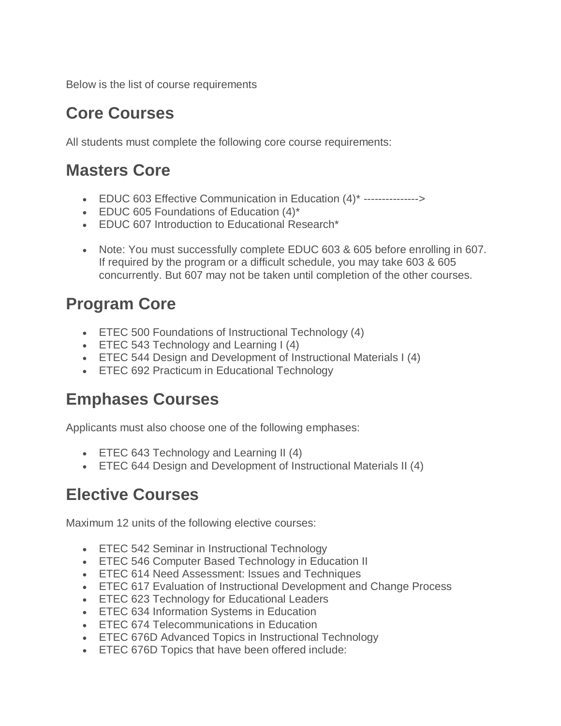Below is the list of course requirements

# **Core Courses**

All students must complete the following core course requirements:

## **Masters Core**

- EDUC 603 Effective Communication in Education (4)\* --------------->
- **EDUC 605 Foundations of Education (4)\***
- EDUC 607 Introduction to Educational Research\*
- Note: You must successfully complete EDUC 603 & 605 before enrolling in 607. If required by the program or a difficult schedule, you may take 603 & 605 concurrently. But 607 may not be taken until completion of the other courses.

# **Program Core**

- ETEC 500 Foundations of Instructional Technology (4)
- **ETEC 543 Technology and Learning I (4)**
- ETEC 544 Design and Development of Instructional Materials I (4)
- **ETEC 692 Practicum in Educational Technology**

## **Emphases Courses**

Applicants must also choose one of the following emphases:

- ETEC 643 Technology and Learning II (4)
- ETEC 644 Design and Development of Instructional Materials II (4)

# **Elective Courses**

Maximum 12 units of the following elective courses:

- **ETEC 542 Seminar in Instructional Technology**
- **ETEC 546 Computer Based Technology in Education II**
- **ETEC 614 Need Assessment: Issues and Techniques**
- ETEC 617 Evaluation of Instructional Development and Change Process
- **ETEC 623 Technology for Educational Leaders**
- ETEC 634 Information Systems in Education
- ETEC 674 Telecommunications in Education
- ETEC 676D Advanced Topics in Instructional Technology
- **ETEC 676D Topics that have been offered include:**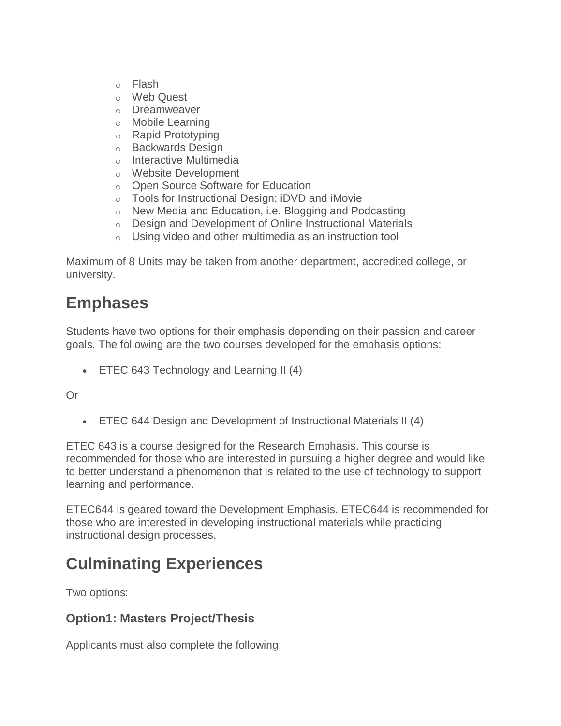- o Flash
- o Web Quest
- o Dreamweaver
- o Mobile Learning
- o Rapid Prototyping
- o Backwards Design
- o Interactive Multimedia
- o Website Development
- o Open Source Software for Education
- o Tools for Instructional Design: iDVD and iMovie
- o New Media and Education, i.e. Blogging and Podcasting
- o Design and Development of Online Instructional Materials
- o Using video and other multimedia as an instruction tool

Maximum of 8 Units may be taken from another department, accredited college, or university.

## **Emphases**

Students have two options for their emphasis depending on their passion and career goals. The following are the two courses developed for the emphasis options:

• ETEC 643 Technology and Learning II (4)

Or

ETEC 644 Design and Development of Instructional Materials II (4)

ETEC 643 is a course designed for the Research Emphasis. This course is recommended for those who are interested in pursuing a higher degree and would like to better understand a phenomenon that is related to the use of technology to support learning and performance.

ETEC644 is geared toward the Development Emphasis. ETEC644 is recommended for those who are interested in developing instructional materials while practicing instructional design processes.

# **Culminating Experiences**

Two options:

#### **Option1: Masters Project/Thesis**

Applicants must also complete the following: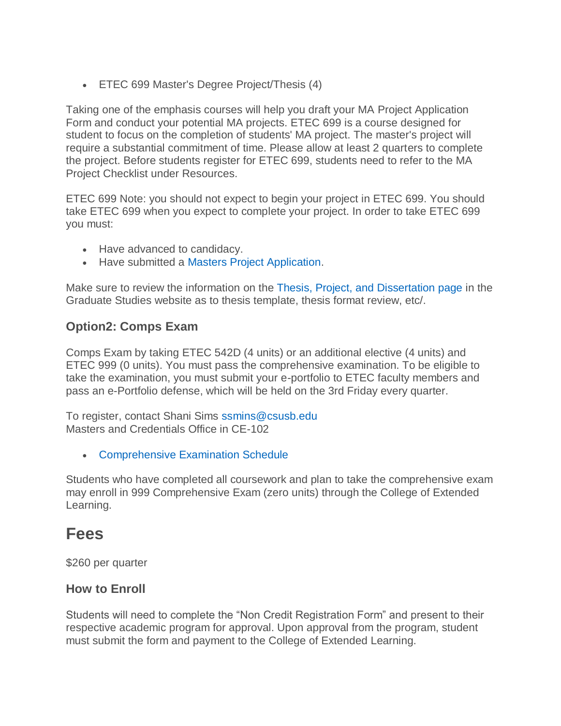ETEC 699 Master's Degree Project/Thesis (4)

Taking one of the emphasis courses will help you draft your MA Project Application Form and conduct your potential MA projects. ETEC 699 is a course designed for student to focus on the completion of students' MA project. The master's project will require a substantial commitment of time. Please allow at least 2 quarters to complete the project. Before students register for ETEC 699, students need to refer to the MA Project Checklist under Resources.

ETEC 699 Note: you should not expect to begin your project in ETEC 699. You should take ETEC 699 when you expect to complete your project. In order to take ETEC 699 you must:

- Have advanced to candidacy.
- Have submitted a [Masters Project Application.](https://www.csusb.edu/sites/default/files/mastersprojectapplication37.doc)

Make sure to review the information on the [Thesis, Project, and Dissertation page](https://gradstudies.csusb.edu/thesisProjectDissertation/index.html) in the Graduate Studies website as to thesis template, thesis format review, etc/.

#### **Option2: Comps Exam**

Comps Exam by taking ETEC 542D (4 units) or an additional elective (4 units) and ETEC 999 (0 units). You must pass the comprehensive examination. To be eligible to take the examination, you must submit your e-portfolio to ETEC faculty members and pass an e-Portfolio defense, which will be held on the 3rd Friday every quarter.

To register, contact Shani Sims [ssmins@csusb.edu](mailto:ssmins@csusb.edu) Masters and Credentials Office in CE-102

[Comprehensive Examination Schedule](https://www.csusb.edu/masters-advanced-credentials/comprehensive-exam)

Students who have completed all coursework and plan to take the comprehensive exam may enroll in 999 Comprehensive Exam (zero units) through the College of Extended Learning.

### **Fees**

\$260 per quarter

#### **How to Enroll**

Students will need to complete the "Non Credit Registration Form" and present to their respective academic program for approval. Upon approval from the program, student must submit the form and payment to the College of Extended Learning.